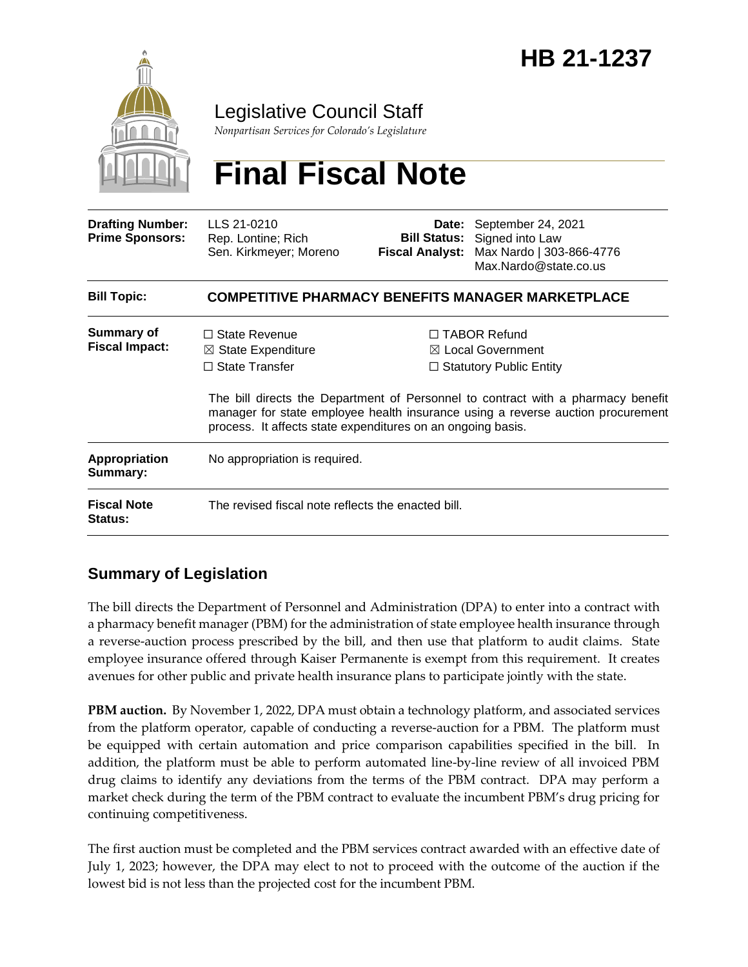

### Legislative Council Staff

*Nonpartisan Services for Colorado's Legislature*

# **Final Fiscal Note**

| <b>Drafting Number:</b><br><b>Prime Sponsors:</b> | LLS 21-0210<br>Rep. Lontine; Rich<br>Sen. Kirkmeyer; Moreno                                                                                                                                                                        | <b>Bill Status:</b><br><b>Fiscal Analyst:</b>                                         | Date: September 24, 2021<br>Signed into Law<br>Max Nardo   303-866-4776<br>Max.Nardo@state.co.us |
|---------------------------------------------------|------------------------------------------------------------------------------------------------------------------------------------------------------------------------------------------------------------------------------------|---------------------------------------------------------------------------------------|--------------------------------------------------------------------------------------------------|
| <b>Bill Topic:</b>                                | <b>COMPETITIVE PHARMACY BENEFITS MANAGER MARKETPLACE</b>                                                                                                                                                                           |                                                                                       |                                                                                                  |
| <b>Summary of</b><br><b>Fiscal Impact:</b>        | $\Box$ State Revenue<br>$\boxtimes$ State Expenditure<br>$\Box$ State Transfer                                                                                                                                                     | $\Box$ TABOR Refund<br>$\boxtimes$ Local Government<br>$\Box$ Statutory Public Entity |                                                                                                  |
|                                                   | The bill directs the Department of Personnel to contract with a pharmacy benefit<br>manager for state employee health insurance using a reverse auction procurement<br>process. It affects state expenditures on an ongoing basis. |                                                                                       |                                                                                                  |
| <b>Appropriation</b><br>Summary:                  | No appropriation is required.                                                                                                                                                                                                      |                                                                                       |                                                                                                  |
| <b>Fiscal Note</b><br><b>Status:</b>              | The revised fiscal note reflects the enacted bill.                                                                                                                                                                                 |                                                                                       |                                                                                                  |

#### **Summary of Legislation**

The bill directs the Department of Personnel and Administration (DPA) to enter into a contract with a pharmacy benefit manager (PBM) for the administration of state employee health insurance through a reverse-auction process prescribed by the bill, and then use that platform to audit claims. State employee insurance offered through Kaiser Permanente is exempt from this requirement. It creates avenues for other public and private health insurance plans to participate jointly with the state.

**PBM auction.** By November 1, 2022, DPA must obtain a technology platform, and associated services from the platform operator, capable of conducting a reverse-auction for a PBM. The platform must be equipped with certain automation and price comparison capabilities specified in the bill. In addition, the platform must be able to perform automated line-by-line review of all invoiced PBM drug claims to identify any deviations from the terms of the PBM contract. DPA may perform a market check during the term of the PBM contract to evaluate the incumbent PBM's drug pricing for continuing competitiveness.

The first auction must be completed and the PBM services contract awarded with an effective date of July 1, 2023; however, the DPA may elect to not to proceed with the outcome of the auction if the lowest bid is not less than the projected cost for the incumbent PBM.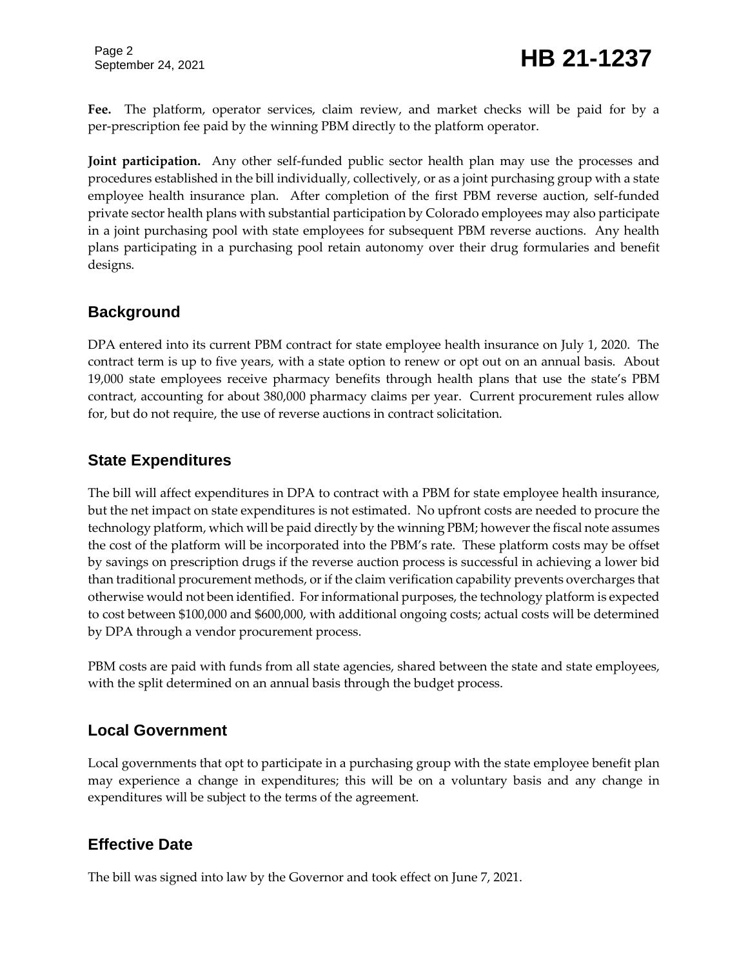Page 2

**Fee.** The platform, operator services, claim review, and market checks will be paid for by a per-prescription fee paid by the winning PBM directly to the platform operator.

**Joint participation.** Any other self-funded public sector health plan may use the processes and procedures established in the bill individually, collectively, or as a joint purchasing group with a state employee health insurance plan. After completion of the first PBM reverse auction, self-funded private sector health plans with substantial participation by Colorado employees may also participate in a joint purchasing pool with state employees for subsequent PBM reverse auctions. Any health plans participating in a purchasing pool retain autonomy over their drug formularies and benefit designs.

#### **Background**

DPA entered into its current PBM contract for state employee health insurance on July 1, 2020. The contract term is up to five years, with a state option to renew or opt out on an annual basis. About 19,000 state employees receive pharmacy benefits through health plans that use the state's PBM contract, accounting for about 380,000 pharmacy claims per year. Current procurement rules allow for, but do not require, the use of reverse auctions in contract solicitation.

#### **State Expenditures**

The bill will affect expenditures in DPA to contract with a PBM for state employee health insurance, but the net impact on state expenditures is not estimated. No upfront costs are needed to procure the technology platform, which will be paid directly by the winning PBM; however the fiscal note assumes the cost of the platform will be incorporated into the PBM's rate. These platform costs may be offset by savings on prescription drugs if the reverse auction process is successful in achieving a lower bid than traditional procurement methods, or if the claim verification capability prevents overcharges that otherwise would not been identified. For informational purposes, the technology platform is expected to cost between \$100,000 and \$600,000, with additional ongoing costs; actual costs will be determined by DPA through a vendor procurement process.

PBM costs are paid with funds from all state agencies, shared between the state and state employees, with the split determined on an annual basis through the budget process.

#### **Local Government**

Local governments that opt to participate in a purchasing group with the state employee benefit plan may experience a change in expenditures; this will be on a voluntary basis and any change in expenditures will be subject to the terms of the agreement.

#### **Effective Date**

The bill was signed into law by the Governor and took effect on June 7, 2021.